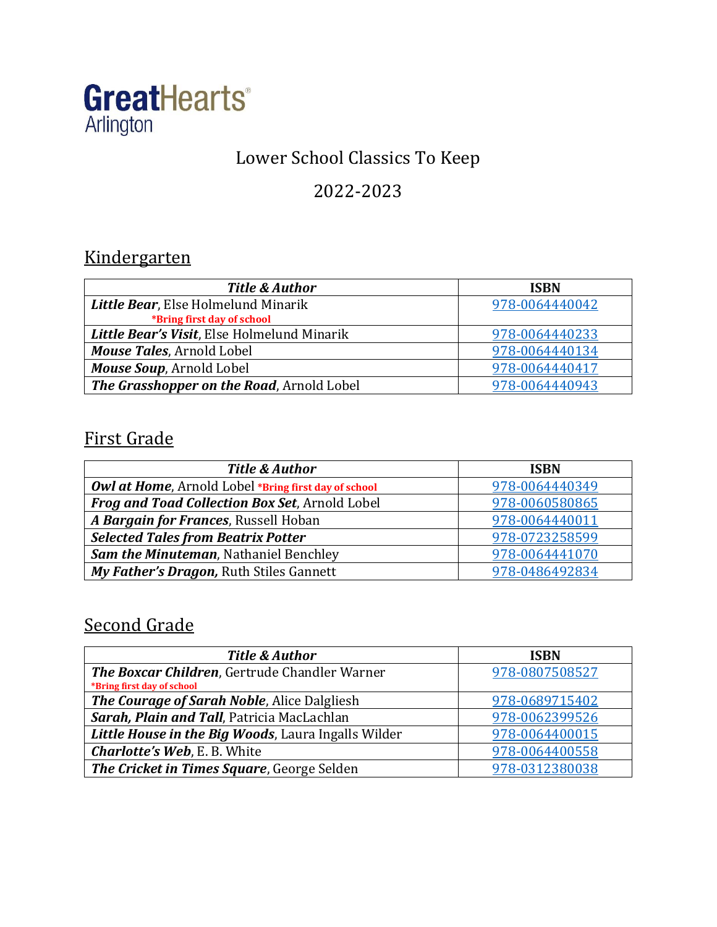

## Lower School Classics To Keep

### 2022-2023

## Kindergarten

| <b>Title &amp; Author</b>                   | <b>ISBN</b>    |
|---------------------------------------------|----------------|
| Little Bear, Else Holmelund Minarik         | 978-0064440042 |
| *Bring first day of school                  |                |
| Little Bear's Visit, Else Holmelund Minarik | 978-0064440233 |
| Mouse Tales, Arnold Lobel                   | 978-0064440134 |
| Mouse Soup, Arnold Lobel                    | 978-0064440417 |
| The Grasshopper on the Road, Arnold Lobel   | 978-0064440943 |

## First Grade

| <b>Title &amp; Author</b>                            | <b>ISBN</b>    |
|------------------------------------------------------|----------------|
| Owl at Home, Arnold Lobel *Bring first day of school | 978-0064440349 |
| Frog and Toad Collection Box Set, Arnold Lobel       | 978-0060580865 |
| A Bargain for Frances, Russell Hoban                 | 978-0064440011 |
| <b>Selected Tales from Beatrix Potter</b>            | 978-0723258599 |
| Sam the Minuteman, Nathaniel Benchley                | 978-0064441070 |
| My Father's Dragon, Ruth Stiles Gannett              | 978-0486492834 |

#### Second Grade

| <b>Title &amp; Author</b>                            | <b>ISBN</b>    |
|------------------------------------------------------|----------------|
| <b>The Boxcar Children, Gertrude Chandler Warner</b> | 978-0807508527 |
| *Bring first day of school                           |                |
| The Courage of Sarah Noble, Alice Dalgliesh          | 978-0689715402 |
| Sarah, Plain and Tall, Patricia MacLachlan           | 978-0062399526 |
| Little House in the Big Woods, Laura Ingalls Wilder  | 978-0064400015 |
| <b>Charlotte's Web, E. B. White</b>                  | 978-0064400558 |
| The Cricket in Times Square, George Selden           | 978-0312380038 |